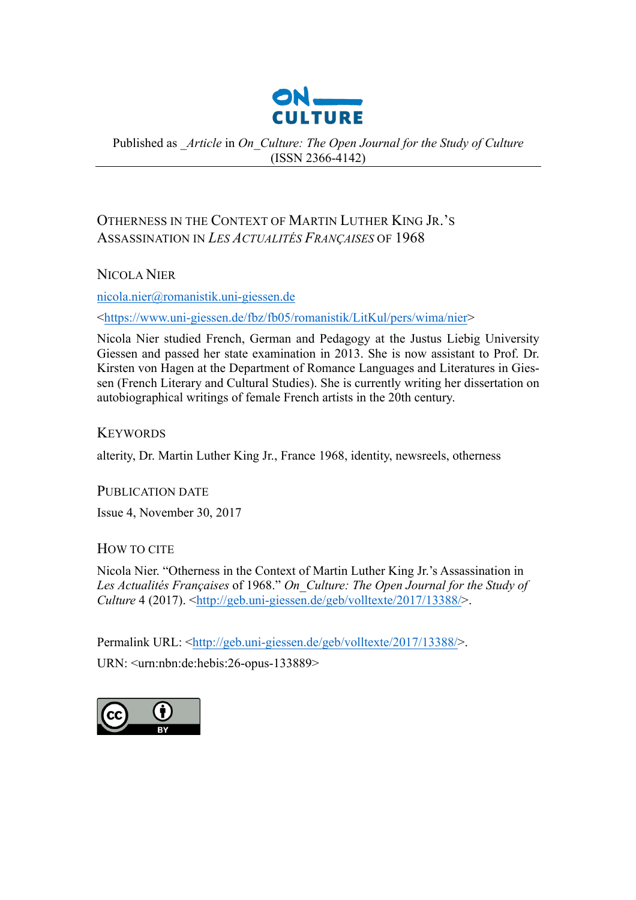

# Published as *\_Article* in *On\_Culture: The Open Journal for the Study of Culture* (ISSN 2366-4142)

# OTHERNESS IN THE CONTEXT OF MARTIN LUTHER KING JR.'S ASSASSINATION IN *LES ACTUALITÉS FRANÇAISES* OF 1968

NICOLA NIER

nicola.nier@romanistik.uni-giessen.de

<https://www.uni-giessen.de/fbz/fb05/romanistik/LitKul/pers/wima/nier>

Nicola Nier studied French, German and Pedagogy at the Justus Liebig University Giessen and passed her state examination in 2013. She is now assistant to Prof. Dr. Kirsten von Hagen at the Department of Romance Languages and Literatures in Giessen (French Literary and Cultural Studies). She is currently writing her dissertation on autobiographical writings of female French artists in the 20th century.

**KEYWORDS** 

alterity, Dr. Martin Luther King Jr., France 1968, identity, newsreels, otherness

PUBLICATION DATE

Issue 4, November 30, 2017

HOW TO CITE

Nicola Nier. "Otherness in the Context of Martin Luther King Jr.'s Assassination in *Les Actualités Françaises* of 1968." *On\_Culture: The Open Journal for the Study of Culture* 4 (2017). <http://geb.uni-giessen.de/geb/volltexte/2017/13388/>.

Permalink URL: <http://geb.uni-giessen.de/geb/volltexte/2017/13388/>.

URN: <urn:nbn:de:hebis:26-opus-133889>

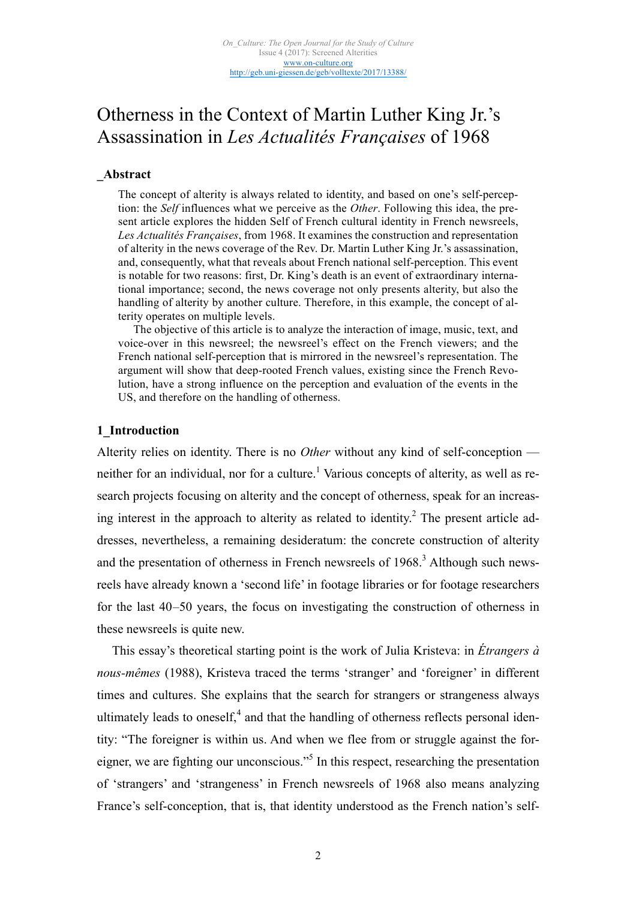# Otherness in the Context of Martin Luther King Jr.'s Assassination in *Les Actualités Françaises* of 1968

#### **\_Abstract**

The concept of alterity is always related to identity, and based on one's self-perception: the *Self* influences what we perceive as the *Other*. Following this idea, the present article explores the hidden Self of French cultural identity in French newsreels, *Les Actualités Françaises*, from 1968. It examines the construction and representation of alterity in the news coverage of the Rev. Dr. Martin Luther King Jr.'s assassination, and, consequently, what that reveals about French national self-perception. This event is notable for two reasons: first, Dr. King's death is an event of extraordinary international importance; second, the news coverage not only presents alterity, but also the handling of alterity by another culture. Therefore, in this example, the concept of alterity operates on multiple levels.

The objective of this article is to analyze the interaction of image, music, text, and voice-over in this newsreel; the newsreel's effect on the French viewers; and the French national self-perception that is mirrored in the newsreel's representation. The argument will show that deep-rooted French values, existing since the French Revolution, have a strong influence on the perception and evaluation of the events in the US, and therefore on the handling of otherness.

#### **1\_Introduction**

Alterity relies on identity. There is no *Other* without any kind of self-conception neither for an individual, nor for a culture.<sup>1</sup> Various concepts of alterity, as well as research projects focusing on alterity and the concept of otherness, speak for an increasing interest in the approach to alterity as related to identity.<sup>2</sup> The present article addresses, nevertheless, a remaining desideratum: the concrete construction of alterity and the presentation of otherness in French newsreels of  $1968$ <sup>3</sup> Although such newsreels have already known a 'second life' in footage libraries or for footage researchers for the last 40–50 years, the focus on investigating the construction of otherness in these newsreels is quite new.

This essay's theoretical starting point is the work of Julia Kristeva: in *Étrangers à nous-mêmes* (1988), Kristeva traced the terms 'stranger' and 'foreigner' in different times and cultures. She explains that the search for strangers or strangeness always ultimately leads to oneself, $4$  and that the handling of otherness reflects personal identity: "The foreigner is within us. And when we flee from or struggle against the foreigner, we are fighting our unconscious."<sup>5</sup> In this respect, researching the presentation of 'strangers' and 'strangeness' in French newsreels of 1968 also means analyzing France's self-conception, that is, that identity understood as the French nation's self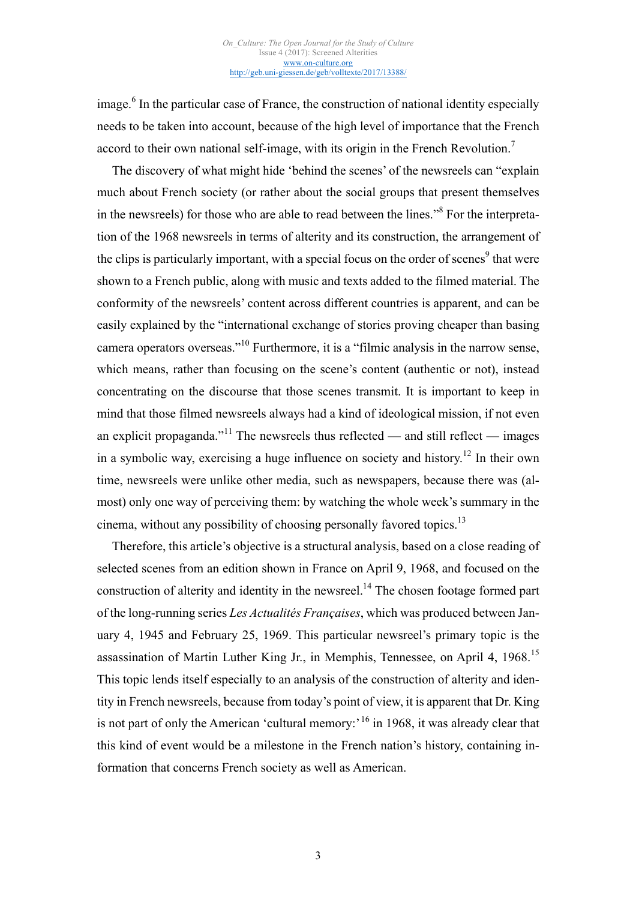$\frac{1}{2}$  image.<sup>6</sup> In the particular case of France, the construction of national identity especially needs to be taken into account, because of the high level of importance that the French accord to their own national self-image, with its origin in the French Revolution.<sup>7</sup>

The discovery of what might hide 'behind the scenes' of the newsreels can "explain much about French society (or rather about the social groups that present themselves in the newsreels) for those who are able to read between the lines."<sup>8</sup> For the interpretation of the 1968 newsreels in terms of alterity and its construction, the arrangement of the clips is particularly important, with a special focus on the order of scenes<sup>9</sup> that were shown to a French public, along with music and texts added to the filmed material. The conformity of the newsreels' content across different countries is apparent, and can be easily explained by the "international exchange of stories proving cheaper than basing camera operators overseas."<sup>10</sup> Furthermore, it is a "filmic analysis in the narrow sense, which means, rather than focusing on the scene's content (authentic or not), instead concentrating on the discourse that those scenes transmit. It is important to keep in mind that those filmed newsreels always had a kind of ideological mission, if not even an explicit propaganda."<sup>11</sup> The newsreels thus reflected — and still reflect — images in a symbolic way, exercising a huge influence on society and history.<sup>12</sup> In their own time, newsreels were unlike other media, such as newspapers, because there was (almost) only one way of perceiving them: by watching the whole week's summary in the cinema, without any possibility of choosing personally favored topics.<sup>13</sup>

Therefore, this article's objective is a structural analysis, based on a close reading of selected scenes from an edition shown in France on April 9, 1968, and focused on the construction of alterity and identity in the newsreel.<sup>14</sup> The chosen footage formed part of the long-running series *Les Actualités Françaises*, which was produced between January 4, 1945 and February 25, 1969. This particular newsreel's primary topic is the assassination of Martin Luther King Jr., in Memphis, Tennessee, on April 4, 1968.<sup>15</sup> This topic lends itself especially to an analysis of the construction of alterity and identity in French newsreels, because from today's point of view, it is apparent that Dr. King is not part of only the American 'cultural memory: $16$  in 1968, it was already clear that this kind of event would be a milestone in the French nation's history, containing information that concerns French society as well as American.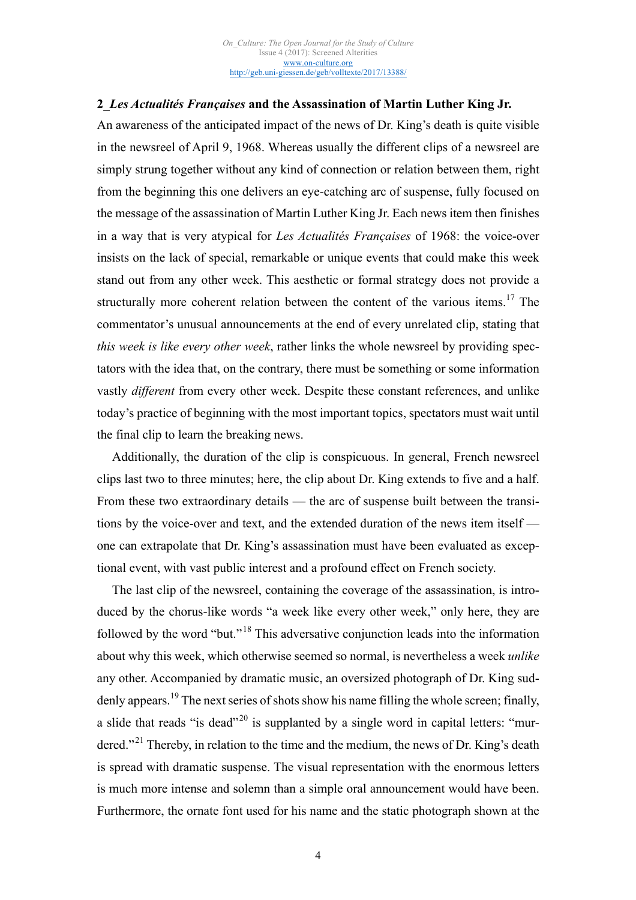## **2\_***Les Actualités Françaises* **and the Assassination of Martin Luther King Jr.**

An awareness of the anticipated impact of the news of Dr. King's death is quite visible in the newsreel of April 9, 1968. Whereas usually the different clips of a newsreel are simply strung together without any kind of connection or relation between them, right from the beginning this one delivers an eye-catching arc of suspense, fully focused on the message of the assassination of Martin Luther King Jr. Each news item then finishes in a way that is very atypical for *Les Actualités Françaises* of 1968: the voice-over insists on the lack of special, remarkable or unique events that could make this week stand out from any other week. This aesthetic or formal strategy does not provide a structurally more coherent relation between the content of the various items.<sup>17</sup> The commentator's unusual announcements at the end of every unrelated clip, stating that *this week is like every other week*, rather links the whole newsreel by providing spectators with the idea that, on the contrary, there must be something or some information vastly *different* from every other week. Despite these constant references, and unlike today's practice of beginning with the most important topics, spectators must wait until the final clip to learn the breaking news.

Additionally, the duration of the clip is conspicuous. In general, French newsreel clips last two to three minutes; here, the clip about Dr. King extends to five and a half. From these two extraordinary details — the arc of suspense built between the transitions by the voice-over and text, and the extended duration of the news item itself one can extrapolate that Dr. King's assassination must have been evaluated as exceptional event, with vast public interest and a profound effect on French society.

The last clip of the newsreel, containing the coverage of the assassination, is introduced by the chorus-like words "a week like every other week," only here, they are followed by the word "but."<sup>18</sup> This adversative conjunction leads into the information about why this week, which otherwise seemed so normal, is nevertheless a week *unlike* any other. Accompanied by dramatic music, an oversized photograph of Dr. King suddenly appears.<sup>19</sup> The next series of shots show his name filling the whole screen; finally, a slide that reads "is dead"<sup>20</sup> is supplanted by a single word in capital letters: "murdered."<sup>21</sup> Thereby, in relation to the time and the medium, the news of Dr. King's death is spread with dramatic suspense. The visual representation with the enormous letters is much more intense and solemn than a simple oral announcement would have been. Furthermore, the ornate font used for his name and the static photograph shown at the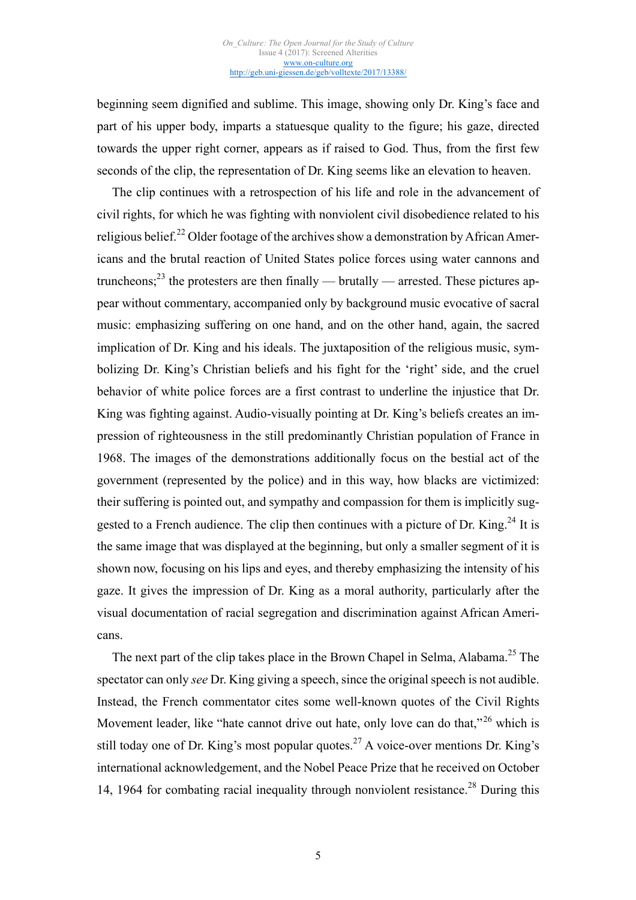beginning seem dignified and sublime. This image, showing only Dr. King's face and part of his upper body, imparts a statuesque quality to the figure; his gaze, directed towards the upper right corner, appears as if raised to God. Thus, from the first few seconds of the clip, the representation of Dr. King seems like an elevation to heaven.

The clip continues with a retrospection of his life and role in the advancement of civil rights, for which he was fighting with nonviolent civil disobedience related to his religious belief.<sup>22</sup> Older footage of the archives show a demonstration by African Americans and the brutal reaction of United States police forces using water cannons and truncheons;<sup>23</sup> the protesters are then finally — brutally — arrested. These pictures appear without commentary, accompanied only by background music evocative of sacral music: emphasizing suffering on one hand, and on the other hand, again, the sacred implication of Dr. King and his ideals. The juxtaposition of the religious music, symbolizing Dr. King's Christian beliefs and his fight for the 'right' side, and the cruel behavior of white police forces are a first contrast to underline the injustice that Dr. King was fighting against. Audio-visually pointing at Dr. King's beliefs creates an impression of righteousness in the still predominantly Christian population of France in 1968. The images of the demonstrations additionally focus on the bestial act of the government (represented by the police) and in this way, how blacks are victimized: their suffering is pointed out, and sympathy and compassion for them is implicitly suggested to a French audience. The clip then continues with a picture of Dr. King.<sup>24</sup> It is the same image that was displayed at the beginning, but only a smaller segment of it is shown now, focusing on his lips and eyes, and thereby emphasizing the intensity of his gaze. It gives the impression of Dr. King as a moral authority, particularly after the visual documentation of racial segregation and discrimination against African Americans.

The next part of the clip takes place in the Brown Chapel in Selma, Alabama.<sup>25</sup> The spectator can only *see* Dr. King giving a speech, since the original speech is not audible. Instead, the French commentator cites some well-known quotes of the Civil Rights Movement leader, like "hate cannot drive out hate, only love can do that,"<sup>26</sup> which is still today one of Dr. King's most popular quotes.<sup>27</sup> A voice-over mentions Dr. King's international acknowledgement, and the Nobel Peace Prize that he received on October 14, 1964 for combating racial inequality through nonviolent resistance.<sup>28</sup> During this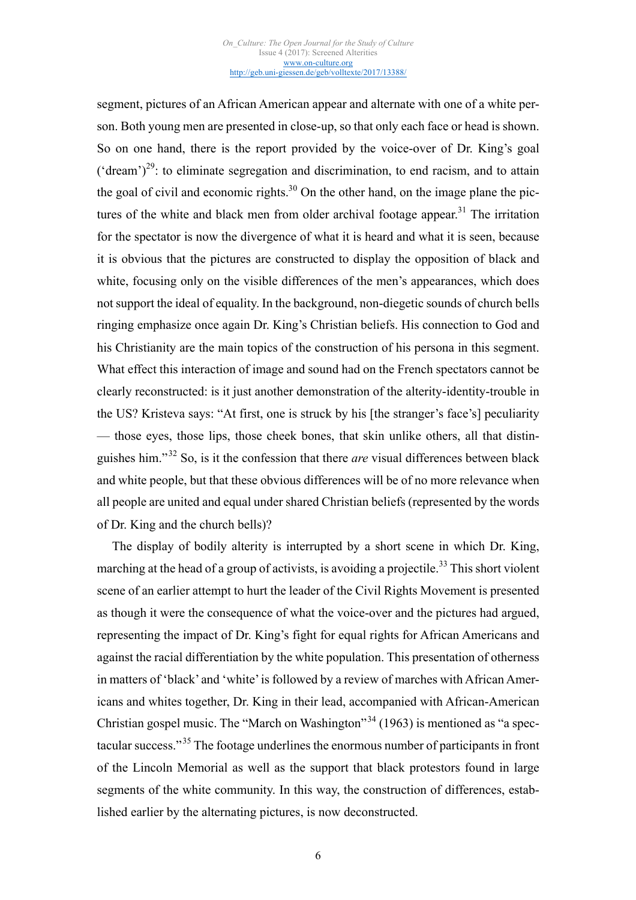segment, pictures of an African American appear and alternate with one of a white person. Both young men are presented in close-up, so that only each face or head is shown. So on one hand, there is the report provided by the voice-over of Dr. King's goal ('dream')<sup>29</sup>: to eliminate segregation and discrimination, to end racism, and to attain the goal of civil and economic rights.<sup>30</sup> On the other hand, on the image plane the pictures of the white and black men from older archival footage appear.<sup>31</sup> The irritation for the spectator is now the divergence of what it is heard and what it is seen, because it is obvious that the pictures are constructed to display the opposition of black and white, focusing only on the visible differences of the men's appearances, which does not support the ideal of equality. In the background, non-diegetic sounds of church bells ringing emphasize once again Dr. King's Christian beliefs. His connection to God and his Christianity are the main topics of the construction of his persona in this segment. What effect this interaction of image and sound had on the French spectators cannot be clearly reconstructed: is it just another demonstration of the alterity-identity-trouble in the US? Kristeva says: "At first, one is struck by his [the stranger's face's] peculiarity — those eyes, those lips, those cheek bones, that skin unlike others, all that distinguishes him."<sup>32</sup> So, is it the confession that there *are* visual differences between black and white people, but that these obvious differences will be of no more relevance when all people are united and equal under shared Christian beliefs (represented by the words of Dr. King and the church bells)?

The display of bodily alterity is interrupted by a short scene in which Dr. King, marching at the head of a group of activists, is avoiding a projectile.<sup>33</sup> This short violent scene of an earlier attempt to hurt the leader of the Civil Rights Movement is presented as though it were the consequence of what the voice-over and the pictures had argued, representing the impact of Dr. King's fight for equal rights for African Americans and against the racial differentiation by the white population. This presentation of otherness in matters of 'black' and 'white' is followed by a review of marches with African Americans and whites together, Dr. King in their lead, accompanied with African-American Christian gospel music. The "March on Washington"<sup>34</sup> (1963) is mentioned as "a spectacular success."<sup>35</sup> The footage underlines the enormous number of participants in front of the Lincoln Memorial as well as the support that black protestors found in large segments of the white community. In this way, the construction of differences, established earlier by the alternating pictures, is now deconstructed.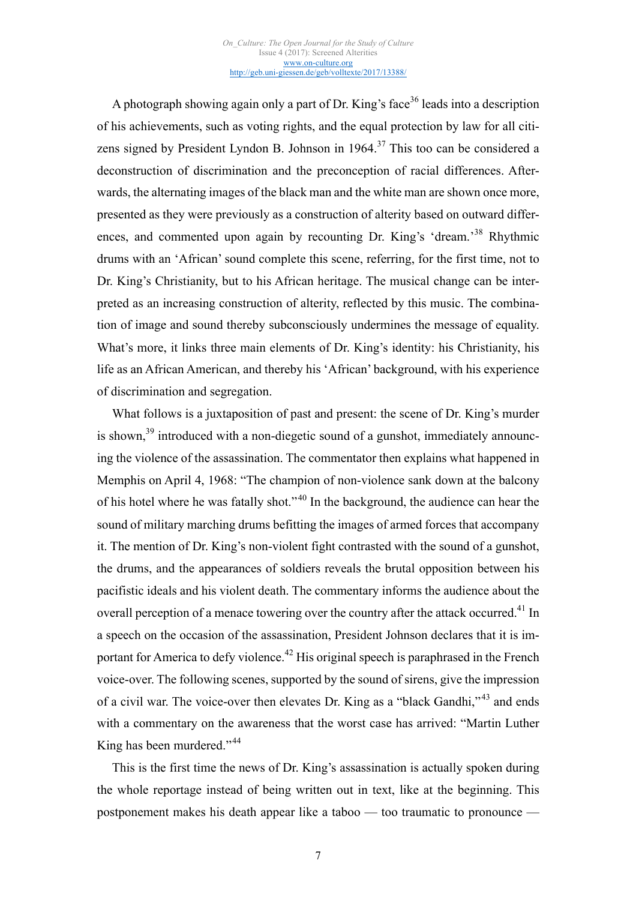A photograph showing again only a part of Dr. King's face<sup>36</sup> leads into a description of his achievements, such as voting rights, and the equal protection by law for all citizens signed by President Lyndon B. Johnson in  $1964$ <sup>37</sup> This too can be considered a deconstruction of discrimination and the preconception of racial differences. Afterwards, the alternating images of the black man and the white man are shown once more, presented as they were previously as a construction of alterity based on outward differences, and commented upon again by recounting Dr. King's 'dream.<sup>38</sup> Rhythmic drums with an 'African' sound complete this scene, referring, for the first time, not to Dr. King's Christianity, but to his African heritage. The musical change can be interpreted as an increasing construction of alterity, reflected by this music. The combination of image and sound thereby subconsciously undermines the message of equality. What's more, it links three main elements of Dr. King's identity: his Christianity, his life as an African American, and thereby his 'African' background, with his experience of discrimination and segregation.

What follows is a juxtaposition of past and present: the scene of Dr. King's murder is shown, $39$  introduced with a non-diegetic sound of a gunshot, immediately announcing the violence of the assassination. The commentator then explains what happened in Memphis on April 4, 1968: "The champion of non-violence sank down at the balcony of his hotel where he was fatally shot."<sup>40</sup> In the background, the audience can hear the sound of military marching drums befitting the images of armed forces that accompany it. The mention of Dr. King's non-violent fight contrasted with the sound of a gunshot, the drums, and the appearances of soldiers reveals the brutal opposition between his pacifistic ideals and his violent death. The commentary informs the audience about the overall perception of a menace towering over the country after the attack occurred.<sup>41</sup> In a speech on the occasion of the assassination, President Johnson declares that it is important for America to defy violence.<sup>42</sup> His original speech is paraphrased in the French voice-over. The following scenes, supported by the sound of sirens, give the impression of a civil war. The voice-over then elevates Dr. King as a "black Gandhi,"<sup>43</sup> and ends with a commentary on the awareness that the worst case has arrived: "Martin Luther King has been murdered."<sup>44</sup>

This is the first time the news of Dr. King's assassination is actually spoken during the whole reportage instead of being written out in text, like at the beginning. This postponement makes his death appear like a taboo — too traumatic to pronounce —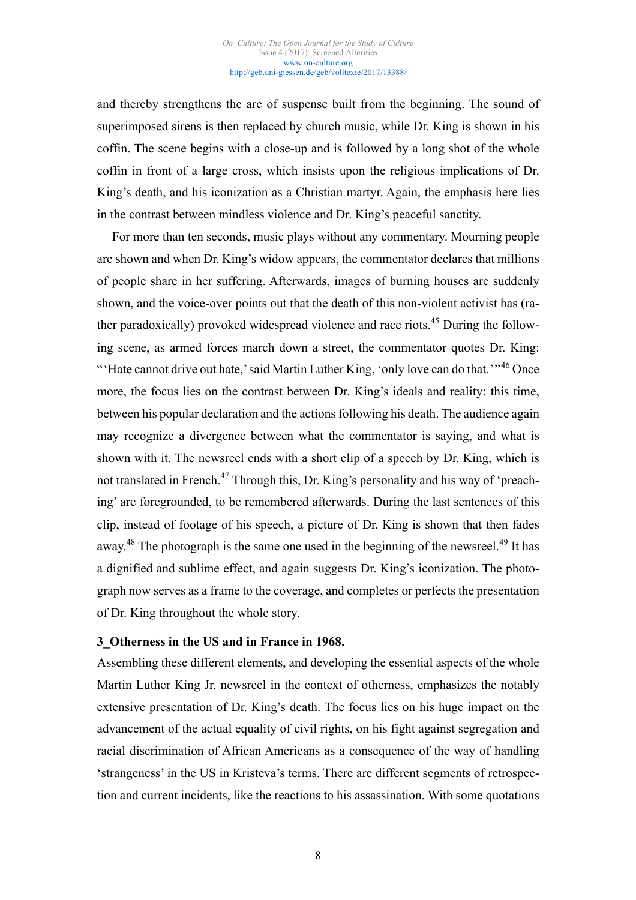and thereby strengthens the arc of suspense built from the beginning. The sound of superimposed sirens is then replaced by church music, while Dr. King is shown in his coffin. The scene begins with a close-up and is followed by a long shot of the whole coffin in front of a large cross, which insists upon the religious implications of Dr. King's death, and his iconization as a Christian martyr. Again, the emphasis here lies in the contrast between mindless violence and Dr. King's peaceful sanctity.

For more than ten seconds, music plays without any commentary. Mourning people are shown and when Dr. King's widow appears, the commentator declares that millions of people share in her suffering. Afterwards, images of burning houses are suddenly shown, and the voice-over points out that the death of this non-violent activist has (rather paradoxically) provoked widespread violence and race riots.<sup>45</sup> During the following scene, as armed forces march down a street, the commentator quotes Dr. King: "Hate cannot drive out hate,' said Martin Luther King, 'only love can do that,'"<sup>46</sup> Once more, the focus lies on the contrast between Dr. King's ideals and reality: this time, between his popular declaration and the actions following his death. The audience again may recognize a divergence between what the commentator is saying, and what is shown with it. The newsreel ends with a short clip of a speech by Dr. King, which is not translated in French.<sup>47</sup> Through this, Dr. King's personality and his way of 'preaching' are foregrounded, to be remembered afterwards. During the last sentences of this clip, instead of footage of his speech, a picture of Dr. King is shown that then fades away.<sup>48</sup> The photograph is the same one used in the beginning of the newsreel.<sup>49</sup> It has a dignified and sublime effect, and again suggests Dr. King's iconization. The photograph now serves as a frame to the coverage, and completes or perfects the presentation of Dr. King throughout the whole story.

### **3\_Otherness in the US and in France in 1968.**

Assembling these different elements, and developing the essential aspects of the whole Martin Luther King Jr. newsreel in the context of otherness, emphasizes the notably extensive presentation of Dr. King's death. The focus lies on his huge impact on the advancement of the actual equality of civil rights, on his fight against segregation and racial discrimination of African Americans as a consequence of the way of handling 'strangeness' in the US in Kristeva's terms. There are different segments of retrospection and current incidents, like the reactions to his assassination. With some quotations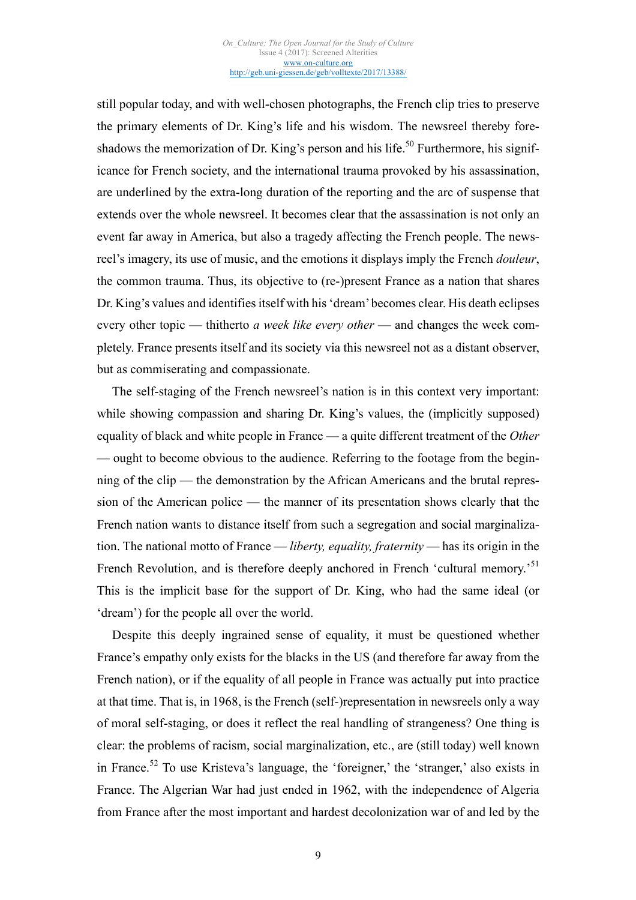still popular today, and with well-chosen photographs, the French clip tries to preserve the primary elements of Dr. King's life and his wisdom. The newsreel thereby foreshadows the memorization of Dr. King's person and his life.<sup>50</sup> Furthermore, his significance for French society, and the international trauma provoked by his assassination, are underlined by the extra-long duration of the reporting and the arc of suspense that extends over the whole newsreel. It becomes clear that the assassination is not only an event far away in America, but also a tragedy affecting the French people. The newsreel's imagery, its use of music, and the emotions it displays imply the French *douleur*, the common trauma. Thus, its objective to (re-)present France as a nation that shares Dr. King's values and identifies itself with his 'dream' becomes clear. His death eclipses every other topic — thitherto *a week like every other* — and changes the week completely. France presents itself and its society via this newsreel not as a distant observer, but as commiserating and compassionate.

The self-staging of the French newsreel's nation is in this context very important: while showing compassion and sharing Dr. King's values, the (implicitly supposed) equality of black and white people in France — a quite different treatment of the *Other* — ought to become obvious to the audience. Referring to the footage from the beginning of the clip — the demonstration by the African Americans and the brutal repression of the American police — the manner of its presentation shows clearly that the French nation wants to distance itself from such a segregation and social marginalization. The national motto of France — *liberty, equality, fraternity* — has its origin in the French Revolution, and is therefore deeply anchored in French 'cultural memory.<sup>51</sup> This is the implicit base for the support of Dr. King, who had the same ideal (or 'dream') for the people all over the world.

Despite this deeply ingrained sense of equality, it must be questioned whether France's empathy only exists for the blacks in the US (and therefore far away from the French nation), or if the equality of all people in France was actually put into practice at that time. That is, in 1968, is the French (self-)representation in newsreels only a way of moral self-staging, or does it reflect the real handling of strangeness? One thing is clear: the problems of racism, social marginalization, etc., are (still today) well known in France.<sup>52</sup> To use Kristeva's language, the 'foreigner,' the 'stranger,' also exists in France. The Algerian War had just ended in 1962, with the independence of Algeria from France after the most important and hardest decolonization war of and led by the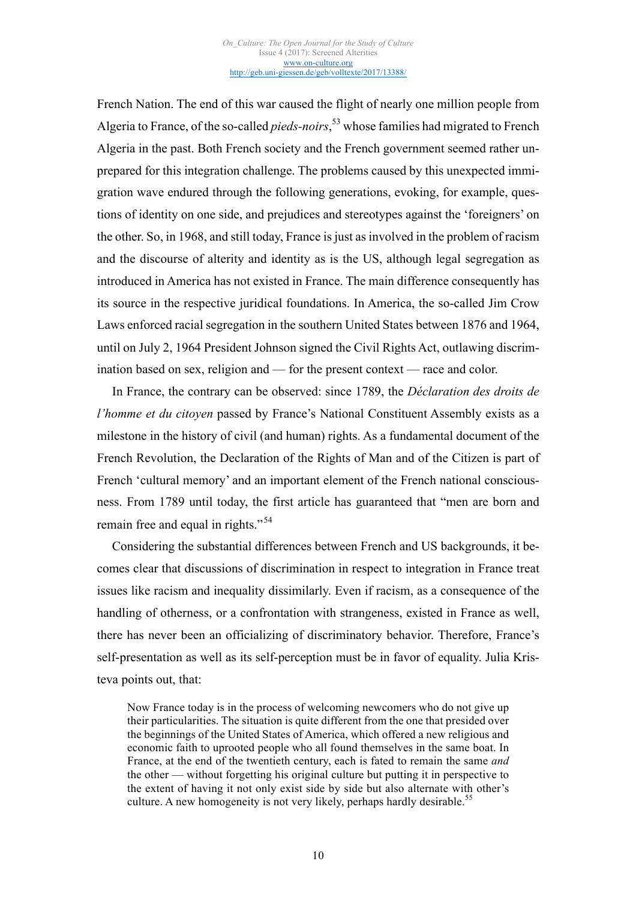French Nation. The end of this war caused the flight of nearly one million people from Algeria to France, of the so-called *pieds-noirs*, <sup>53</sup> whose families had migrated to French Algeria in the past. Both French society and the French government seemed rather unprepared for this integration challenge. The problems caused by this unexpected immigration wave endured through the following generations, evoking, for example, questions of identity on one side, and prejudices and stereotypes against the 'foreigners' on the other. So, in 1968, and still today, France is just as involved in the problem of racism and the discourse of alterity and identity as is the US, although legal segregation as introduced in America has not existed in France. The main difference consequently has its source in the respective juridical foundations. In America, the so-called Jim Crow Laws enforced racial segregation in the southern United States between 1876 and 1964, until on July 2, 1964 President Johnson signed the Civil Rights Act, outlawing discrimination based on sex, religion and — for the present context — race and color.

In France, the contrary can be observed: since 1789, the *Déclaration des droits de l'homme et du citoyen* passed by France's National Constituent Assembly exists as a milestone in the history of civil (and human) rights. As a fundamental document of the French Revolution, the Declaration of the Rights of Man and of the Citizen is part of French 'cultural memory' and an important element of the French national consciousness. From 1789 until today, the first article has guaranteed that "men are born and remain free and equal in rights."<sup>54</sup>

Considering the substantial differences between French and US backgrounds, it becomes clear that discussions of discrimination in respect to integration in France treat issues like racism and inequality dissimilarly. Even if racism, as a consequence of the handling of otherness, or a confrontation with strangeness, existed in France as well, there has never been an officializing of discriminatory behavior. Therefore, France's self-presentation as well as its self-perception must be in favor of equality. Julia Kristeva points out, that:

Now France today is in the process of welcoming newcomers who do not give up their particularities. The situation is quite different from the one that presided over the beginnings of the United States of America, which offered a new religious and economic faith to uprooted people who all found themselves in the same boat. In France, at the end of the twentieth century, each is fated to remain the same *and* the other — without forgetting his original culture but putting it in perspective to the extent of having it not only exist side by side but also alternate with other's culture. A new homogeneity is not very likely, perhaps hardly desirable.<sup>55</sup>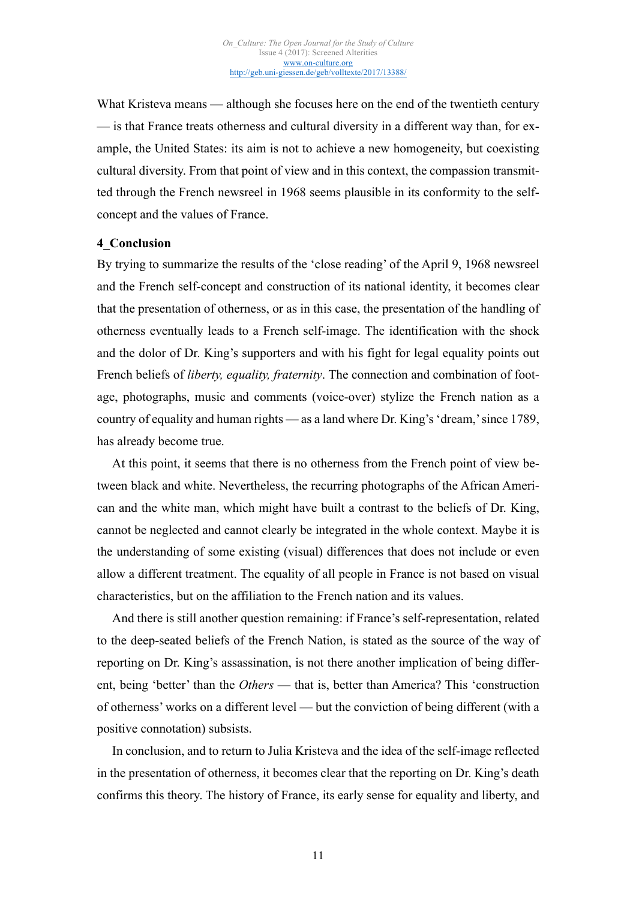What Kristeva means — although she focuses here on the end of the twentieth century — is that France treats otherness and cultural diversity in a different way than, for example, the United States: its aim is not to achieve a new homogeneity, but coexisting cultural diversity. From that point of view and in this context, the compassion transmitted through the French newsreel in 1968 seems plausible in its conformity to the selfconcept and the values of France.

#### **4\_Conclusion**

By trying to summarize the results of the 'close reading' of the April 9, 1968 newsreel and the French self-concept and construction of its national identity, it becomes clear that the presentation of otherness, or as in this case, the presentation of the handling of otherness eventually leads to a French self-image. The identification with the shock and the dolor of Dr. King's supporters and with his fight for legal equality points out French beliefs of *liberty, equality, fraternity*. The connection and combination of footage, photographs, music and comments (voice-over) stylize the French nation as a country of equality and human rights — as a land where Dr. King's 'dream,' since 1789, has already become true.

At this point, it seems that there is no otherness from the French point of view between black and white. Nevertheless, the recurring photographs of the African American and the white man, which might have built a contrast to the beliefs of Dr. King, cannot be neglected and cannot clearly be integrated in the whole context. Maybe it is the understanding of some existing (visual) differences that does not include or even allow a different treatment. The equality of all people in France is not based on visual characteristics, but on the affiliation to the French nation and its values.

And there is still another question remaining: if France's self-representation, related to the deep-seated beliefs of the French Nation, is stated as the source of the way of reporting on Dr. King's assassination, is not there another implication of being different, being 'better' than the *Others* — that is, better than America? This 'construction of otherness' works on a different level — but the conviction of being different (with a positive connotation) subsists.

In conclusion, and to return to Julia Kristeva and the idea of the self-image reflected in the presentation of otherness, it becomes clear that the reporting on Dr. King's death confirms this theory. The history of France, its early sense for equality and liberty, and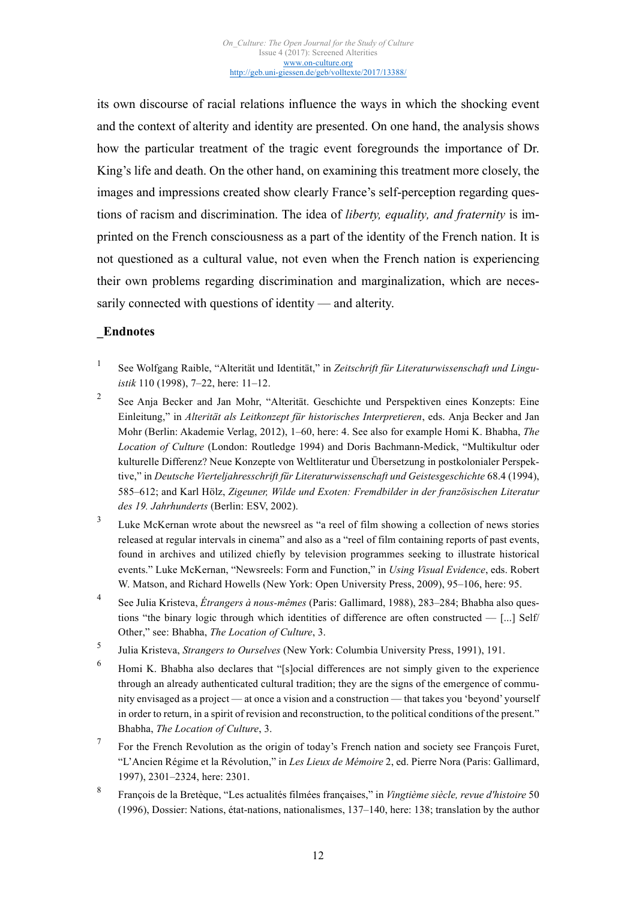its own discourse of racial relations influence the ways in which the shocking event and the context of alterity and identity are presented. On one hand, the analysis shows how the particular treatment of the tragic event foregrounds the importance of Dr. King's life and death. On the other hand, on examining this treatment more closely, the images and impressions created show clearly France's self-perception regarding questions of racism and discrimination. The idea of *liberty, equality, and fraternity* is imprinted on the French consciousness as a part of the identity of the French nation. It is not questioned as a cultural value, not even when the French nation is experiencing their own problems regarding discrimination and marginalization, which are necessarily connected with questions of identity — and alterity.

# **\_Endnotes**

- <sup>1</sup> See Wolfgang Raible, "Alterität und Identität," in *Zeitschrift für Literaturwissenschaft und Linguistik* 110 (1998), 7–22, here: 11–12.
- <sup>2</sup> See Anja Becker and Jan Mohr, "Alterität. Geschichte und Perspektiven eines Konzepts: Eine Einleitung," in *Alterität als Leitkonzept für historisches Interpretieren*, eds. Anja Becker and Jan Mohr (Berlin: Akademie Verlag, 2012), 1–60, here: 4. See also for example Homi K. Bhabha, *The Location of Culture* (London: Routledge 1994) and Doris Bachmann-Medick, "Multikultur oder kulturelle Differenz? Neue Konzepte von Weltliteratur und Übersetzung in postkolonialer Perspektive," in *Deutsche Vierteljahresschrift für Literaturwissenschaft und Geistesgeschichte* 68.4 (1994), 585–612; and Karl Hölz, *Zigeuner, Wilde und Exoten: Fremdbilder in der französischen Literatur des 19. Jahrhunderts* (Berlin: ESV, 2002).
- <sup>3</sup> Luke McKernan wrote about the newsreel as "а reel of film showing а collection of news stories released at regular intervals in cinema" and also as a "reel of film containing reports of past events, found in archives and utilized chiefly by television programmes seeking to illustrate historical events." Luke McKernan, "Newsreels: Form and Function," in *Using Visual Evidence*, eds. Robert W. Matson, and Richard Howells (New York: Open University Press, 2009), 95–106, here: 95.
- <sup>4</sup> See Julia Kristeva, *Étrangers à nous-mêmes* (Paris: Gallimard, 1988), 283–284; Bhabha also questions "the binary logic through which identities of difference are often constructed — [...] Self/ Other," see: Bhabha, *The Location of Culture*, 3.
- <sup>5</sup> Julia Kristeva, *Strangers to Ourselves* (New York: Columbia University Press, 1991), 191.
- <sup>6</sup> Homi K. Bhabha also declares that "[s]ocial differences are not simply given to the experience through an already authenticated cultural tradition; they are the signs of the emergence of community envisaged as a project — at once a vision and a construction — that takes you 'beyond' yourself in order to return, in a spirit of revision and reconstruction, to the political conditions of the present." Bhabha, *The Location of Culture*, 3.
- <sup>7</sup> For the French Revolution as the origin of today's French nation and society see François Furet, "L'Ancien Régime et la Révolution," in *Les Lieux de Mémoire* 2, ed. Pierre Nora (Paris: Gallimard, 1997), 2301–2324, here: 2301.
- <sup>8</sup> François de la Bretèque, "Les actualités filmées françaises," in *Vingtième siècle, revue d'histoire* 50 (1996), Dossier: Nations, état-nations, nationalismes, 137–140, here: 138; translation by the author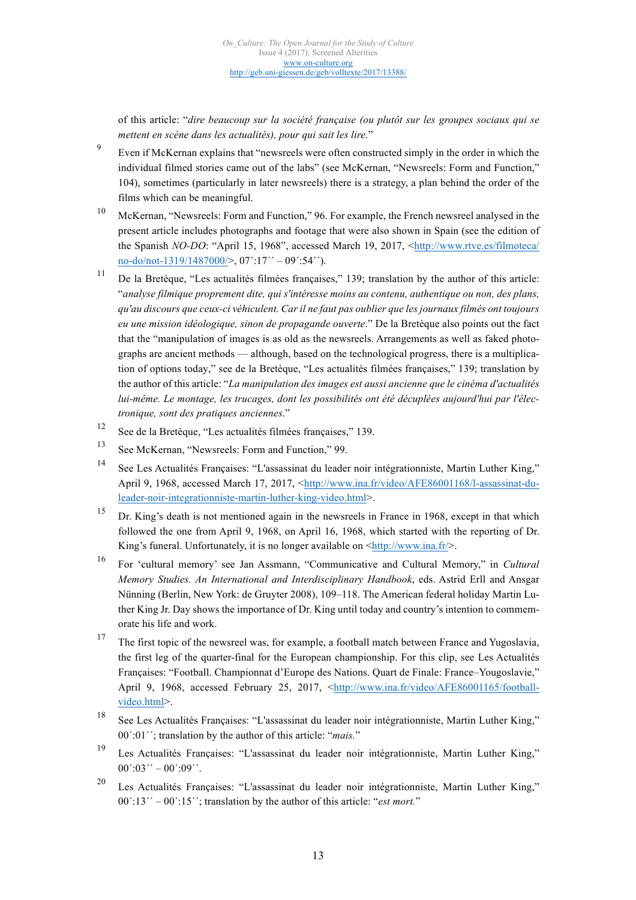of this article: "*dire beaucoup sur la société française (ou plutôt sur les groupes sociaux qui se mettent en scène dans les actualités), pour qui sait les lire.*"

- <sup>9</sup> Even if McKernan explains that "newsreels were often constructed simply in the order in which the individual filmed stories came out of the labs" (see McKernan, "Newsreels: Form and Function," 104), sometimes (particularly in later newsreels) there is a strategy, a plan behind the order of the films which can be meaningful.
- <sup>10</sup> McKernan, "Newsreels: Form and Function," 96. For example, the French newsreel analysed in the present article includes photographs and footage that were also shown in Spain (see the edition of the Spanish *NO-DO*: "April 15, 1968", accessed March 19, 2017, <http://www.rtve.es/filmoteca/ [no-do/not-1319/1487000/>, 07´:17´´](http://www.rtve.es/filmoteca/no-do/not-1319/1487000/) – 09´:54´´).
- <sup>11</sup> De la Bretèque, "Les actualités filmées françaises," 139; translation by the author of this article: "*analyse filmique proprement dite, qui s'intéresse moins au contenu, authentique ou non, des plans, qu'au discours que ceux-ci véhiculent. Car il ne faut pas oublier que les journaux filmés ont toujours eu une mission idéologique, sinon de propagande ouverte*." De la Bretèque also points out the fact that the "manipulation of images is as old as the newsreels. Arrangements as well as faked photographs are ancient methods — although, based on the technological progress, there is a multiplication of options today," see de la Bretèque, "Les actualités filmées françaises," 139; translation by the author of this article: "*La manipulation des images est aussi ancienne que le cinéma d'actualités lui-même. Le montage, les trucages, dont les possibilités ont été décuplées aujourd'hui par l'électronique, sont des pratiques anciennes*."
- <sup>12</sup> See de la Bretèque, "Les actualités filmées françaises," 139.
- <sup>13</sup> See McKernan, "Newsreels: Form and Function," 99.
- <sup>14</sup> See Les Actualités Françaises: "L'assassinat du leader noir intégrationniste, Martin Luther King," [April 9, 1968, accessed March 17, 2017, <http://www.ina.fr/video/AFE86001168/l-assassinat-du](http://www.ina.fr/video/AFE86001168/l-assassinat-du-leader-noir-integrationniste-martin-luther-king-video.html)leader-noir-integrationniste-martin-luther-king-video.html>.
- <sup>15</sup> Dr. King's death is not mentioned again in the newsreels in France in 1968, except in that which followed the one from April 9, 1968, on April 16, 1968, which started with the reporting of Dr. King's funeral. Unfortunately, it is no longer available on  $\frac{\text{http://www.ina.fr/}}{\text{www.ina.fr/}}$ .
- <sup>16</sup> For 'cultural memory' see Jan Assmann, "Communicative and Cultural Memory," in *Cultural Memory Studies. An International and Interdisciplinary Handbook*, eds. Astrid Erll and Ansgar Nünning (Berlin, New York: de Gruyter 2008), 109–118. The American federal holiday Martin Luther King Jr. Day shows the importance of Dr. King until today and country's intention to commemorate his life and work.
- <sup>17</sup> The first topic of the newsreel was, for example, a football match between France and Yugoslavia, the first leg of the quarter-final for the European championship. For this clip, see Les Actualités Françaises: "Football. Championnat d'Europe des Nations. Quart de Finale: France–Yougoslavie," [April 9, 1968, accessed February 25, 2017, <http://www.ina.fr/video/AFE86001165/football](http://www.ina.fr/video/AFE86001165/football-video.html)video.html>.
- <sup>18</sup> See Les Actualités Françaises: "L'assassinat du leader noir intégrationniste, Martin Luther King," 00´:01´´; translation by the author of this article: "*mais.*"
- <sup>19</sup> Les Actualités Françaises: "L'assassinat du leader noir intégrationniste, Martin Luther King,"  $00^{\prime}$ :03 $^{\prime\prime}$  – 00 $^{\prime}$ :09 $^{\prime\prime}$ .
- <sup>20</sup> Les Actualités Françaises: "L'assassinat du leader noir intégrationniste, Martin Luther King," 00´:13´´ – 00´:15´´; translation by the author of this article: "*est mort.*"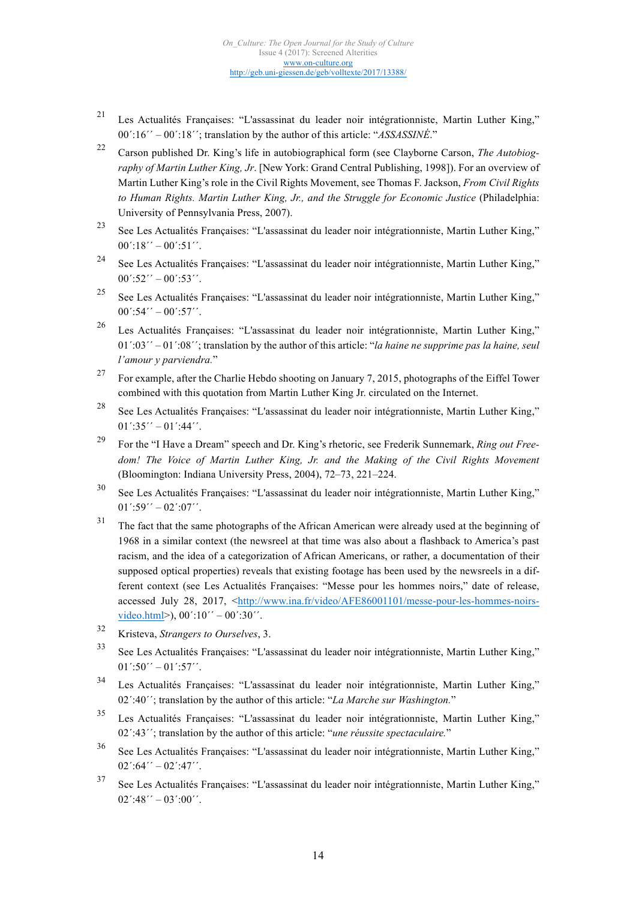- <sup>21</sup> Les Actualités Françaises: "L'assassinat du leader noir intégrationniste, Martin Luther King," 00´:16´´ – 00´:18´´; translation by the author of this article: "*ASSASSINÉ*."
- <sup>22</sup> Carson published Dr. King's life in autobiographical form (see Clayborne Carson, *The Autobiography of Martin Luther King, Jr*. [New York: Grand Central Publishing, 1998]). For an overview of Martin Luther King's role in the Civil Rights Movement, see Thomas F. Jackson, *From Civil Rights to Human Rights. Martin Luther King, Jr., and the Struggle for Economic Justice* (Philadelphia: University of Pennsylvania Press, 2007).
- <sup>23</sup> See Les Actualités Françaises: "L'assassinat du leader noir intégrationniste, Martin Luther King,"  $00'$ :18´´ – 00':51´´.
- <sup>24</sup> See Les Actualités Françaises: "L'assassinat du leader noir intégrationniste, Martin Luther King,"  $00^{\prime}$ :52 $^{\prime\prime}$  –  $00^{\prime}$ :53 $^{\prime\prime}$ .
- <sup>25</sup> See Les Actualités Françaises: "L'assassinat du leader noir intégrationniste, Martin Luther King,"  $00^{\prime}$ :54´´ –  $00^{\prime}$ :57´´.
- <sup>26</sup> Les Actualités Françaises: "L'assassinat du leader noir intégrationniste, Martin Luther King," 01´:03´´ – 01´:08´´; translation by the author of this article: "*la haine ne supprime pas la haine, seul l'amour y parviendra.*"
- <sup>27</sup> For example, after the Charlie Hebdo shooting on January 7, 2015, photographs of the Eiffel Tower combined with this quotation from Martin Luther King Jr. circulated on the Internet.
- <sup>28</sup> See Les Actualités Françaises: "L'assassinat du leader noir intégrationniste, Martin Luther King,"  $01^{\prime}:35^{\prime\prime}-01^{\prime}:44^{\prime\prime}.$
- <sup>29</sup> For the "I Have a Dream" speech and Dr. King's rhetoric, see Frederik Sunnemark, *Ring out Freedom! The Voice of Martin Luther King, Jr. and the Making of the Civil Rights Movement* (Bloomington: Indiana University Press, 2004), 72–73, 221–224.
- <sup>30</sup> See Les Actualités Françaises: "L'assassinat du leader noir intégrationniste, Martin Luther King,"  $01^{\prime}:59^{\prime\prime}-02^{\prime}:07^{\prime\prime}.$
- <sup>31</sup> The fact that the same photographs of the African American were already used at the beginning of 1968 in a similar context (the newsreel at that time was also about a flashback to America's past racism, and the idea of a categorization of African Americans, or rather, a documentation of their supposed optical properties) reveals that existing footage has been used by the newsreels in a different context (see Les Actualités Françaises: "Messe pour les hommes noirs," date of release, [accessed July 28, 2017, <http://www.ina.fr/video/AFE86001101/messe-pour-les-hommes-noirs](http://www.ina.fr/video/AFE86001101/messe-pour-les-hommes-noirs-video.html)video.html>),  $00'$ :10´´ –  $00'$ :30´´.
- <sup>32</sup> Kristeva, *Strangers to Ourselves*, 3.
- <sup>33</sup> See Les Actualités Françaises: "L'assassinat du leader noir intégrationniste, Martin Luther King,"  $01^{\prime}$ :50 $^{\prime\prime}$  –  $01^{\prime}$ :57 $^{\prime\prime}$ .
- <sup>34</sup> Les Actualités Françaises: "L'assassinat du leader noir intégrationniste, Martin Luther King," 02´:40´´; translation by the author of this article: "*La Marche sur Washington.*"
- <sup>35</sup> Les Actualités Françaises: "L'assassinat du leader noir intégrationniste, Martin Luther King," 02´:43´´; translation by the author of this article: "*une réussite spectaculaire.*"
- <sup>36</sup> See Les Actualités Françaises: "L'assassinat du leader noir intégrationniste, Martin Luther King,"  $02^{\prime}$ :64 $^{\prime\prime}$  –  $02^{\prime}$ :47 $^{\prime\prime}$ .
- <sup>37</sup> See Les Actualités Françaises: "L'assassinat du leader noir intégrationniste, Martin Luther King,"  $02'$ :48´´ – 03´:00´´.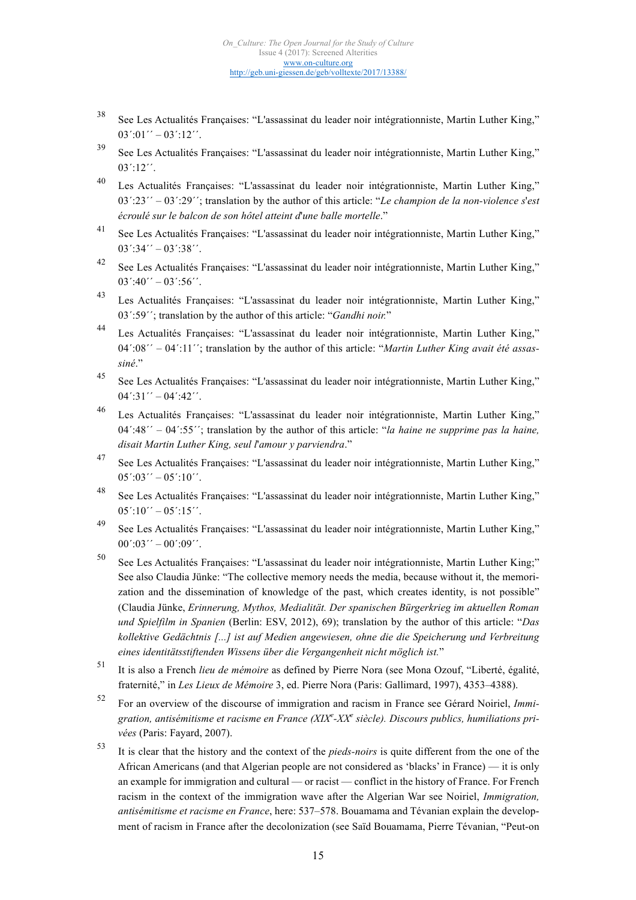- <sup>38</sup> See Les Actualités Françaises: "L'assassinat du leader noir intégrationniste, Martin Luther King,"  $03'$ : $01' - 03'$ : $12'$ .
- <sup>39</sup> See Les Actualités Françaises: "L'assassinat du leader noir intégrationniste, Martin Luther King," 03´:12´´.
- <sup>40</sup> Les Actualités Françaises: "L'assassinat du leader noir intégrationniste, Martin Luther King," 03´:23´´ – 03´:29´´; translation by the author of this article: "*Le champion de la non-violence s*'*est écroulé sur le balcon de son hôtel atteint d*'*une balle mortelle*."
- <sup>41</sup> See Les Actualités Françaises: "L'assassinat du leader noir intégrationniste, Martin Luther King,"  $03^{\prime}$ :34 $^{\prime\prime}$  –  $03^{\prime}$ :38 $^{\prime\prime}$ .
- <sup>42</sup> See Les Actualités Françaises: "L'assassinat du leader noir intégrationniste, Martin Luther King,"  $03^{\prime}$ :40<sup> $\prime\prime$ </sup> – 03<sup> $\prime$ </sup>:56<sup> $\prime\prime$ </sup>.
- <sup>43</sup> Les Actualités Françaises: "L'assassinat du leader noir intégrationniste, Martin Luther King," 03´:59´´; translation by the author of this article: "*Gandhi noir.*"
- <sup>44</sup> Les Actualités Françaises: "L'assassinat du leader noir intégrationniste, Martin Luther King," 04´:08´´ – 04´:11´´; translation by the author of this article: "*Martin Luther King avait été assassiné*."
- <sup>45</sup> See Les Actualités Françaises: "L'assassinat du leader noir intégrationniste, Martin Luther King,"  $04^{\prime}:31^{\prime\prime} - 04^{\prime}:42^{\prime\prime}.$
- <sup>46</sup> Les Actualités Françaises: "L'assassinat du leader noir intégrationniste, Martin Luther King," 04´:48´´ – 04´:55´´; translation by the author of this article: "*la haine ne supprime pas la haine, disait Martin Luther King, seul l*'*amour y parviendra*."
- <sup>47</sup> See Les Actualités Françaises: "L'assassinat du leader noir intégrationniste, Martin Luther King,"  $05^{\prime}$ :03 $^{\prime\prime}$  – 05':10''.
- <sup>48</sup> See Les Actualités Françaises: "L'assassinat du leader noir intégrationniste, Martin Luther King,"  $05'$ :10´´ – 05´:15´´.
- <sup>49</sup> See Les Actualités Françaises: "L'assassinat du leader noir intégrationniste, Martin Luther King,"  $00^{\prime}$ :03 $^{\prime\prime}$  – 00 $^{\prime}$ :09 $^{\prime\prime}$ .
- <sup>50</sup> See Les Actualités Françaises: "L'assassinat du leader noir intégrationniste, Martin Luther King;" See also Claudia Jünke: "The collective memory needs the media, because without it, the memorization and the dissemination of knowledge of the past, which creates identity, is not possible" (Claudia Jünke, *Erinnerung, Mythos, Medialität. Der spanischen Bürgerkrieg im aktuellen Roman und Spielfilm in Spanien* (Berlin: ESV, 2012), 69); translation by the author of this article: "*Das kollektive Gedächtnis [...] ist auf Medien angewiesen, ohne die die Speicherung und Verbreitung eines identitätsstiftenden Wissens über die Vergangenheit nicht möglich ist.*"
- <sup>51</sup> It is also a French *lieu de mémoire* as defined by Pierre Nora (see Mona Ozouf, "Liberté, égalité, fraternité," in *Les Lieux de Mémoire* 3, ed. Pierre Nora (Paris: Gallimard, 1997), 4353–4388).
- <sup>52</sup> For an overview of the discourse of immigration and racism in France see Gérard Noiriel, *Immigration, antisémitisme et racisme en France (XIX<sup>e</sup> -XX<sup>e</sup> siècle). Discours publics, humiliations privées* (Paris: Fayard, 2007).
- <sup>53</sup> It is clear that the history and the context of the *pieds-noirs* is quite different from the one of the African Americans (and that Algerian people are not considered as 'blacks' in France) — it is only an example for immigration and cultural — or racist — conflict in the history of France. For French racism in the context of the immigration wave after the Algerian War see Noiriel, *Immigration, antisémitisme et racisme en France*, here: 537–578. Bouamama and Tévanian explain the development of racism in France after the decolonization (see Saïd Bouamama, Pierre Tévanian, "Peut-on